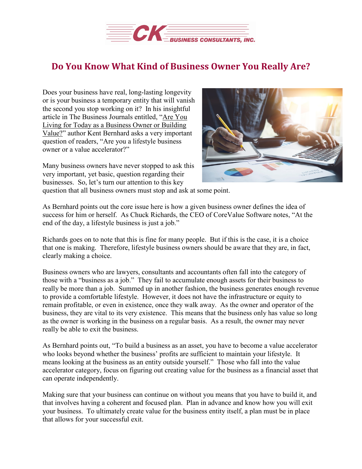

## **Do You Know What Kind of Business Owner You Really Are?**

Does your business have real, long-lasting longevity or is your business a temporary entity that will vanish the second you stop working on it? In his insightful article in The Business Journals entitled, "Are [You](https://www.bizjournals.com/bizjournals/news/2019/04/01/are-you-living-for-today-as-a-business-owner-or.html) Living for Today as a [Business](https://www.bizjournals.com/bizjournals/news/2019/04/01/are-you-living-for-today-as-a-business-owner-or.html) Owner or Building [Value?"](https://www.bizjournals.com/bizjournals/news/2019/04/01/are-you-living-for-today-as-a-business-owner-or.html) author Kent Bernhard asks a very important question of readers, "Are you a lifestyle business owner or a value accelerator?"

Many business owners have never stopped to ask this very important, yet basic, question regarding their businesses. So, let's turn our attention to this key



question that all business owners must stop and ask at some point.

As Bernhard points out the core issue here is how a given business owner defines the idea of success for him or herself. As Chuck Richards, the CEO of CoreValue Software notes, "At the end of the day, a lifestyle business is just a job."

Richards goes on to note that this is fine for many people. But if this is the case, it is a choice that one is making. Therefore, lifestyle business owners should be aware that they are, in fact, clearly making a choice.

Business owners who are lawyers, consultants and accountants often fall into the category of those with a "business as a job." They fail to accumulate enough assets for their business to really be more than a job. Summed up in another fashion, the business generates enough revenue to provide a comfortable lifestyle. However, it does not have the infrastructure or equity to remain profitable, or even in existence, once they walk away. As the owner and operator of the business, they are vital to its very existence. This means that the business only has value so long as the owner is working in the business on a regular basis. As a result, the owner may never really be able to exit the business.

As Bernhard points out, "To build a business as an asset, you have to become a value accelerator who looks beyond whether the business' profits are sufficient to maintain your lifestyle. It means looking at the business as an entity outside yourself." Those who fall into the value accelerator category, focus on figuring out creating value for the business as a financial asset that can operate independently.

Making sure that your business can continue on without you means that you have to build it, and that involves having a coherent and focused plan. Plan in advance and know how you will exit your business. To ultimately create value for the business entity itself, a plan must be in place that allows for your successful exit.